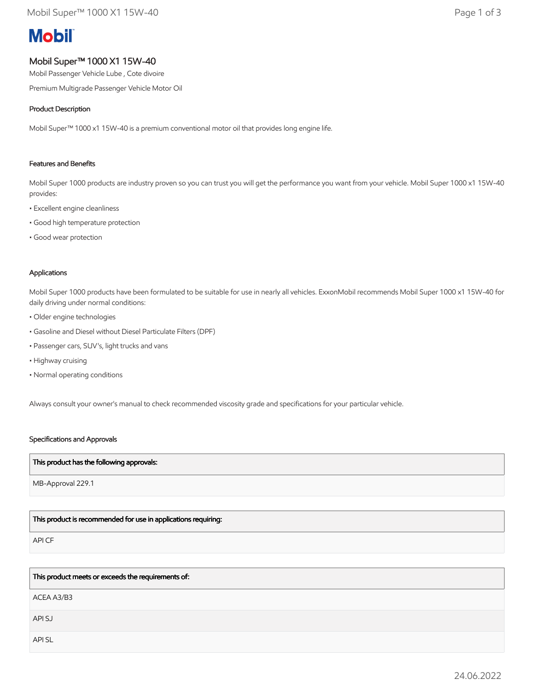# **Mobil**

## Mobil Super™ 1000 X1 15W-40

Mobil Passenger Vehicle Lube , Cote divoire

Premium Multigrade Passenger Vehicle Motor Oil

#### Product Description

Mobil Super™ 1000 x1 15W-40 is a premium conventional motor oil that provides long engine life.

#### Features and Benefits

Mobil Super 1000 products are industry proven so you can trust you will get the performance you want from your vehicle. Mobil Super 1000 x1 15W-40 provides:

- Excellent engine cleanliness
- Good high temperature protection
- Good wear protection

#### Applications

Mobil Super 1000 products have been formulated to be suitable for use in nearly all vehicles. ExxonMobil recommends Mobil Super 1000 x1 15W-40 for daily driving under normal conditions:

- Older engine technologies
- Gasoline and Diesel without Diesel Particulate Filters (DPF)
- Passenger cars, SUV's, light trucks and vans
- Highway cruising
- Normal operating conditions

Always consult your owner's manual to check recommended viscosity grade and specifications for your particular vehicle.

#### Specifications and Approvals

#### This product has the following approvals:

MB-Approval 229.1

### This product is recommended for use in applications requiring:

API CF

This product meets or exceeds the requirements of:

ACEA A3/B3

API SJ

API SL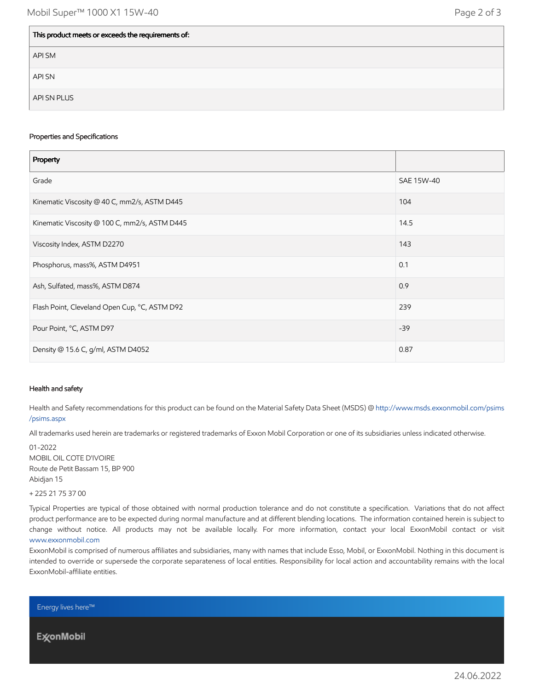| This product meets or exceeds the requirements of: |  |
|----------------------------------------------------|--|
| API SM                                             |  |
| <b>API SN</b>                                      |  |
| API SN PLUS                                        |  |

#### Properties and Specifications

| Property                                      |            |
|-----------------------------------------------|------------|
| Grade                                         | SAE 15W-40 |
| Kinematic Viscosity @ 40 C, mm2/s, ASTM D445  | 104        |
| Kinematic Viscosity @ 100 C, mm2/s, ASTM D445 | 14.5       |
| Viscosity Index, ASTM D2270                   | 143        |
| Phosphorus, mass%, ASTM D4951                 | 0.1        |
| Ash, Sulfated, mass%, ASTM D874               | 0.9        |
| Flash Point, Cleveland Open Cup, °C, ASTM D92 | 239        |
| Pour Point, °C, ASTM D97                      | $-39$      |
| Density @ 15.6 C, g/ml, ASTM D4052            | 0.87       |

#### Health and safety

Health and Safety recommendations for this product can be found on the Material Safety Data Sheet (MSDS) @ [http://www.msds.exxonmobil.com/psims](http://www.msds.exxonmobil.com/psims/psims.aspx) /psims.aspx

All trademarks used herein are trademarks or registered trademarks of Exxon Mobil Corporation or one of its subsidiaries unless indicated otherwise.

01-2022 MOBIL OIL COTE D'IVOIRE Route de Petit Bassam 15, BP 900 Abidjan 15

+ 225 21 75 37 00

Typical Properties are typical of those obtained with normal production tolerance and do not constitute a specification. Variations that do not affect product performance are to be expected during normal manufacture and at different blending locations. The information contained herein is subject to change without notice. All products may not be available locally. For more information, contact your local ExxonMobil contact or visit [www.exxonmobil.com](http://www.exxonmobil.com/)

ExxonMobil is comprised of numerous affiliates and subsidiaries, many with names that include Esso, Mobil, or ExxonMobil. Nothing in this document is intended to override or supersede the corporate separateness of local entities. Responsibility for local action and accountability remains with the local ExxonMobil-affiliate entities.

Energy lives here™

**ExconMobil**